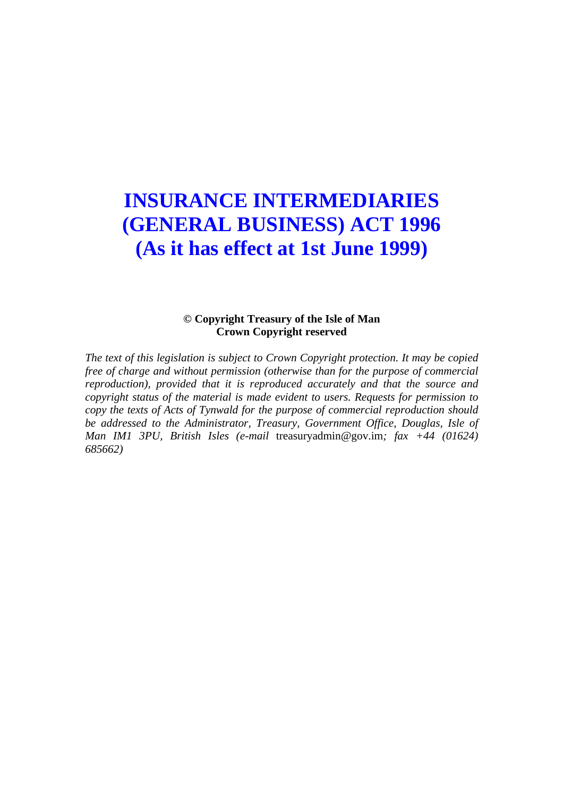# **INSURANCE INTERMEDIARIES (GENERAL BUSINESS) ACT 1996 (As it has effect at 1st June 1999)**

### **© Copyright Treasury of the Isle of Man Crown Copyright reserved**

*The text of this legislation is subject to Crown Copyright protection. It may be copied free of charge and without permission (otherwise than for the purpose of commercial reproduction), provided that it is reproduced accurately and that the source and copyright status of the material is made evident to users. Requests for permission to copy the texts of Acts of Tynwald for the purpose of commercial reproduction should be addressed to the Administrator, Treasury, Government Office, Douglas, Isle of Man IM1 3PU, British Isles (e-mail* treasuryadmin@gov.im*; fax +44 (01624) 685662)*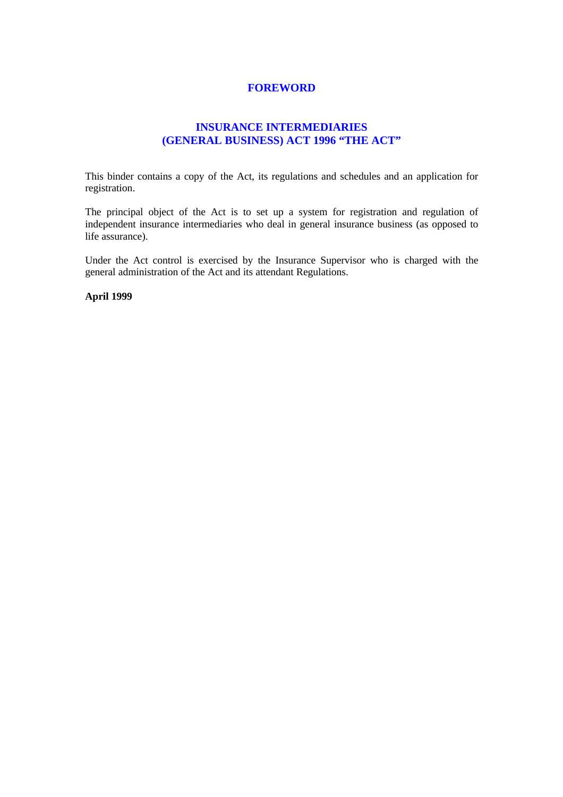#### **FOREWORD**

### **INSURANCE INTERMEDIARIES (GENERAL BUSINESS) ACT 1996 "THE ACT"**

This binder contains a copy of the Act, its regulations and schedules and an application for registration.

The principal object of the Act is to set up a system for registration and regulation of independent insurance intermediaries who deal in general insurance business (as opposed to life assurance).

Under the Act control is exercised by the Insurance Supervisor who is charged with the general administration of the Act and its attendant Regulations.

**April 1999**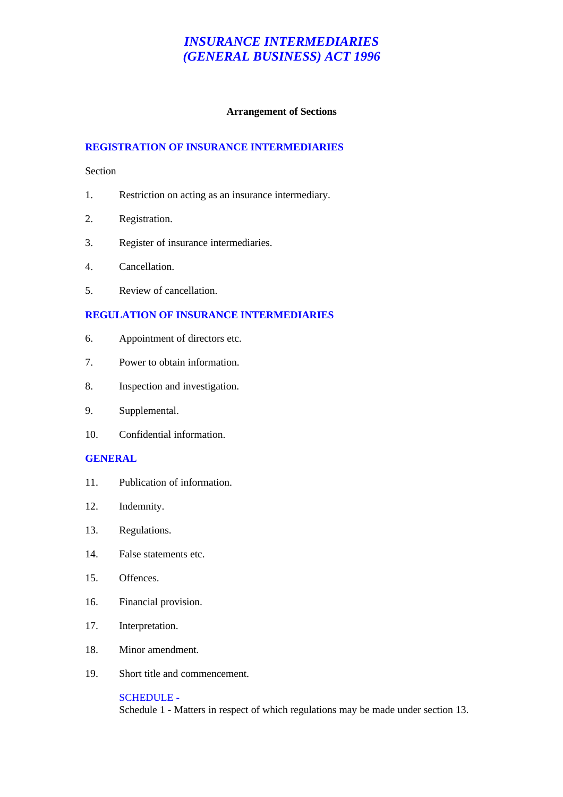#### **Arrangement of Sections**

#### **REGISTRATION OF INSURANCE INTERMEDIARIES**

#### Section

- 1. Restriction on acting as an insurance intermediary.
- 2. Registration.
- 3. Register of insurance intermediaries.
- 4. Cancellation.
- 5. Review of cancellation.

#### **REGULATION OF INSURANCE INTERMEDIARIES**

- 6. Appointment of directors etc.
- 7. Power to obtain information.
- 8. Inspection and investigation.
- 9. Supplemental.
- 10. Confidential information.

#### **GENERAL**

- 11. Publication of information.
- 12. Indemnity.
- 13. Regulations.
- 14. False statements etc.
- 15. Offences.
- 16. Financial provision.
- 17. Interpretation.
- 18. Minor amendment.
- 19. Short title and commencement.

SCHEDULE - Schedule 1 - Matters in respect of which regulations may be made under section 13.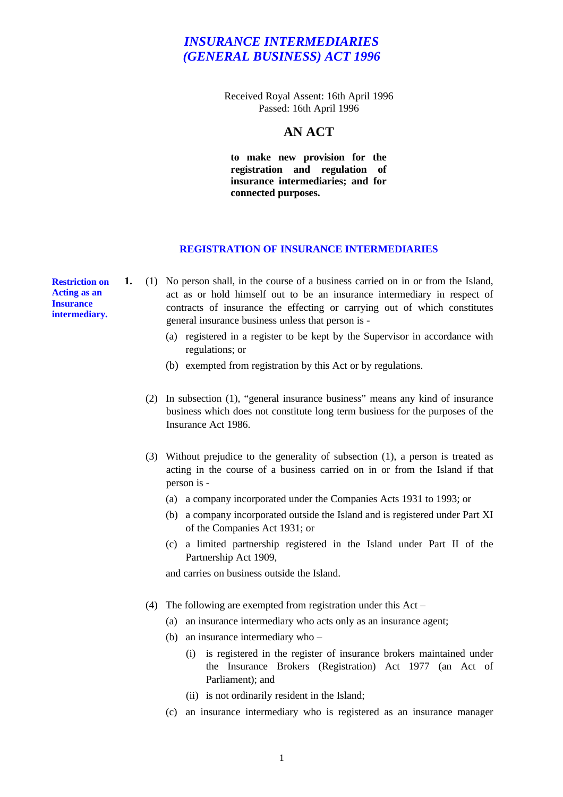Received Royal Assent: 16th April 1996 Passed: 16th April 1996

### **AN ACT**

**to make new provision for the registration and regulation of insurance intermediaries; and for connected purposes.**

#### **REGISTRATION OF INSURANCE INTERMEDIARIES**

**Restriction on Acting as an Insurance intermediary.**

- **1.** (1) No person shall, in the course of a business carried on in or from the Island, act as or hold himself out to be an insurance intermediary in respect of contracts of insurance the effecting or carrying out of which constitutes general insurance business unless that person is -
	- (a) registered in a register to be kept by the Supervisor in accordance with regulations; or
	- (b) exempted from registration by this Act or by regulations.
	- (2) In subsection (1), "general insurance business" means any kind of insurance business which does not constitute long term business for the purposes of the Insurance Act 1986.
	- (3) Without prejudice to the generality of subsection (1), a person is treated as acting in the course of a business carried on in or from the Island if that person is -
		- (a) a company incorporated under the Companies Acts 1931 to 1993; or
		- (b) a company incorporated outside the Island and is registered under Part XI of the Companies Act 1931; or
		- (c) a limited partnership registered in the Island under Part II of the Partnership Act 1909,

and carries on business outside the Island.

- (4) The following are exempted from registration under this Act
	- (a) an insurance intermediary who acts only as an insurance agent;
	- (b) an insurance intermediary who
		- (i) is registered in the register of insurance brokers maintained under the Insurance Brokers (Registration) Act 1977 (an Act of Parliament); and
		- (ii) is not ordinarily resident in the Island;
	- (c) an insurance intermediary who is registered as an insurance manager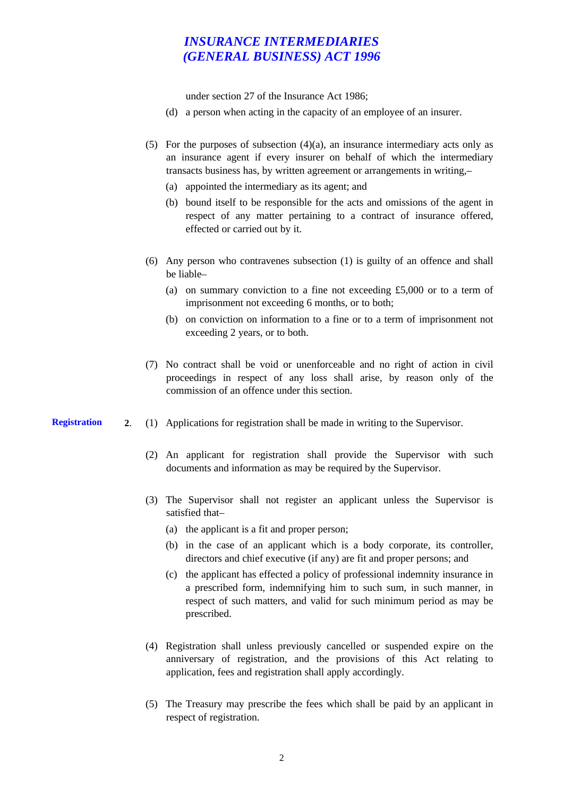under section 27 of the Insurance Act 1986;

- (d) a person when acting in the capacity of an employee of an insurer.
- (5) For the purposes of subsection  $(4)(a)$ , an insurance intermediary acts only as an insurance agent if every insurer on behalf of which the intermediary transacts business has, by written agreement or arrangements in writing,–
	- (a) appointed the intermediary as its agent; and
	- (b) bound itself to be responsible for the acts and omissions of the agent in respect of any matter pertaining to a contract of insurance offered, effected or carried out by it.
- (6) Any person who contravenes subsection (1) is guilty of an offence and shall be liable–
	- (a) on summary conviction to a fine not exceeding  $£5,000$  or to a term of imprisonment not exceeding 6 months, or to both;
	- (b) on conviction on information to a fine or to a term of imprisonment not exceeding 2 years, or to both.
- (7) No contract shall be void or unenforceable and no right of action in civil proceedings in respect of any loss shall arise, by reason only of the commission of an offence under this section.
- **Registration 2**. (1) Applications for registration shall be made in writing to the Supervisor.
	- (2) An applicant for registration shall provide the Supervisor with such documents and information as may be required by the Supervisor.
	- (3) The Supervisor shall not register an applicant unless the Supervisor is satisfied that–
		- (a) the applicant is a fit and proper person;
		- (b) in the case of an applicant which is a body corporate, its controller, directors and chief executive (if any) are fit and proper persons; and
		- (c) the applicant has effected a policy of professional indemnity insurance in a prescribed form, indemnifying him to such sum, in such manner, in respect of such matters, and valid for such minimum period as may be prescribed.
	- (4) Registration shall unless previously cancelled or suspended expire on the anniversary of registration, and the provisions of this Act relating to application, fees and registration shall apply accordingly.
	- (5) The Treasury may prescribe the fees which shall be paid by an applicant in respect of registration.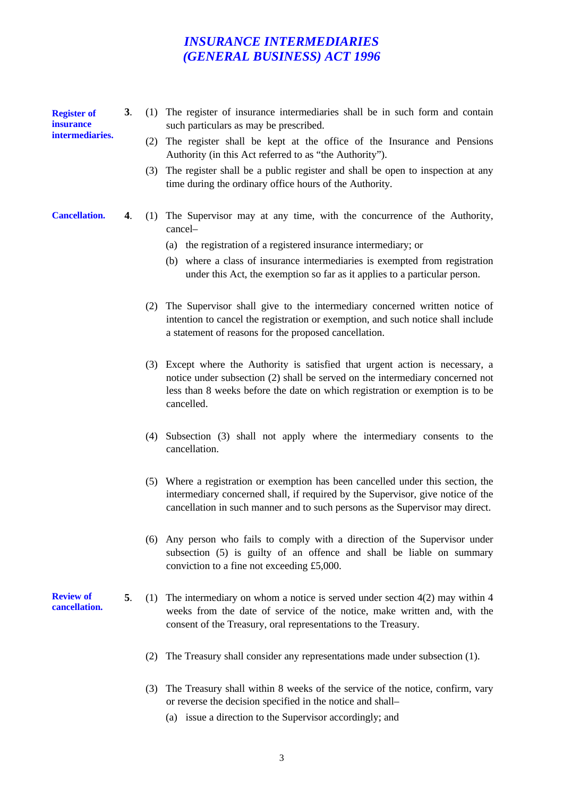**Register of insurance intermediaries.**

- **3**. (1) The register of insurance intermediaries shall be in such form and contain such particulars as may be prescribed.
	- (2) The register shall be kept at the office of the Insurance and Pensions Authority (in this Act referred to as "the Authority").
	- (3) The register shall be a public register and shall be open to inspection at any time during the ordinary office hours of the Authority.

#### **Cancellation.**

- **4**. (1) The Supervisor may at any time, with the concurrence of the Authority, cancel–
	- (a) the registration of a registered insurance intermediary; or
	- (b) where a class of insurance intermediaries is exempted from registration under this Act, the exemption so far as it applies to a particular person.
	- (2) The Supervisor shall give to the intermediary concerned written notice of intention to cancel the registration or exemption, and such notice shall include a statement of reasons for the proposed cancellation.
	- (3) Except where the Authority is satisfied that urgent action is necessary, a notice under subsection (2) shall be served on the intermediary concerned not less than 8 weeks before the date on which registration or exemption is to be cancelled.
	- (4) Subsection (3) shall not apply where the intermediary consents to the cancellation.
	- (5) Where a registration or exemption has been cancelled under this section, the intermediary concerned shall, if required by the Supervisor, give notice of the cancellation in such manner and to such persons as the Supervisor may direct.
	- (6) Any person who fails to comply with a direction of the Supervisor under subsection (5) is guilty of an offence and shall be liable on summary conviction to a fine not exceeding £5,000.
- **5**. (1) The intermediary on whom a notice is served under section 4(2) may within 4 weeks from the date of service of the notice, make written and, with the consent of the Treasury, oral representations to the Treasury.
	- (2) The Treasury shall consider any representations made under subsection (1).
	- (3) The Treasury shall within 8 weeks of the service of the notice, confirm, vary or reverse the decision specified in the notice and shall–
		- (a) issue a direction to the Supervisor accordingly; and

**Review of cancellation.**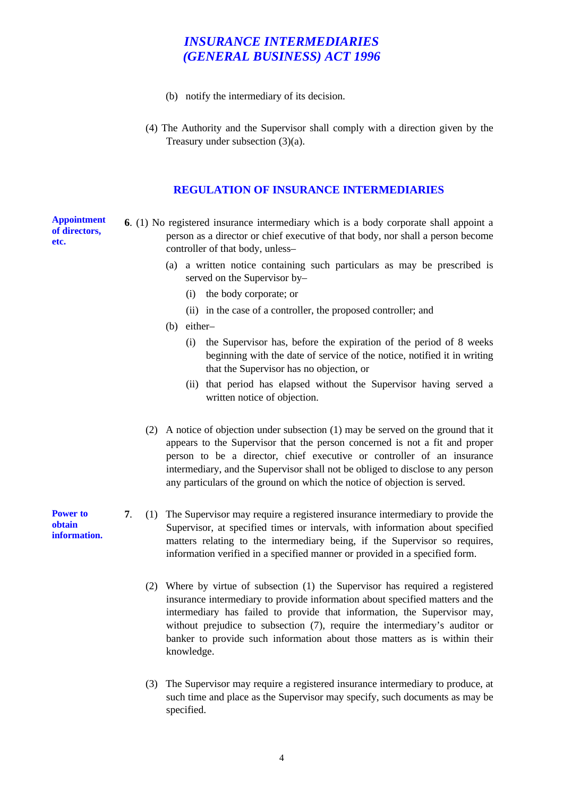- (b) notify the intermediary of its decision.
- (4) The Authority and the Supervisor shall comply with a direction given by the Treasury under subsection (3)(a).

### **REGULATION OF INSURANCE INTERMEDIARIES**

**Appointment of directors, etc.**

- **6**. (1) No registered insurance intermediary which is a body corporate shall appoint a person as a director or chief executive of that body, nor shall a person become controller of that body, unless–
	- (a) a written notice containing such particulars as may be prescribed is served on the Supervisor by–
		- (i) the body corporate; or
		- (ii) in the case of a controller, the proposed controller; and
	- (b) either–
		- (i) the Supervisor has, before the expiration of the period of 8 weeks beginning with the date of service of the notice, notified it in writing that the Supervisor has no objection, or
		- (ii) that period has elapsed without the Supervisor having served a written notice of objection.
	- (2) A notice of objection under subsection (1) may be served on the ground that it appears to the Supervisor that the person concerned is not a fit and proper person to be a director, chief executive or controller of an insurance intermediary, and the Supervisor shall not be obliged to disclose to any person any particulars of the ground on which the notice of objection is served.
- **7**. (1) The Supervisor may require a registered insurance intermediary to provide the Supervisor, at specified times or intervals, with information about specified matters relating to the intermediary being, if the Supervisor so requires, information verified in a specified manner or provided in a specified form.
	- (2) Where by virtue of subsection (1) the Supervisor has required a registered insurance intermediary to provide information about specified matters and the intermediary has failed to provide that information, the Supervisor may, without prejudice to subsection (7), require the intermediary's auditor or banker to provide such information about those matters as is within their knowledge.
	- (3) The Supervisor may require a registered insurance intermediary to produce, at such time and place as the Supervisor may specify, such documents as may be specified.

**Power to obtain information.**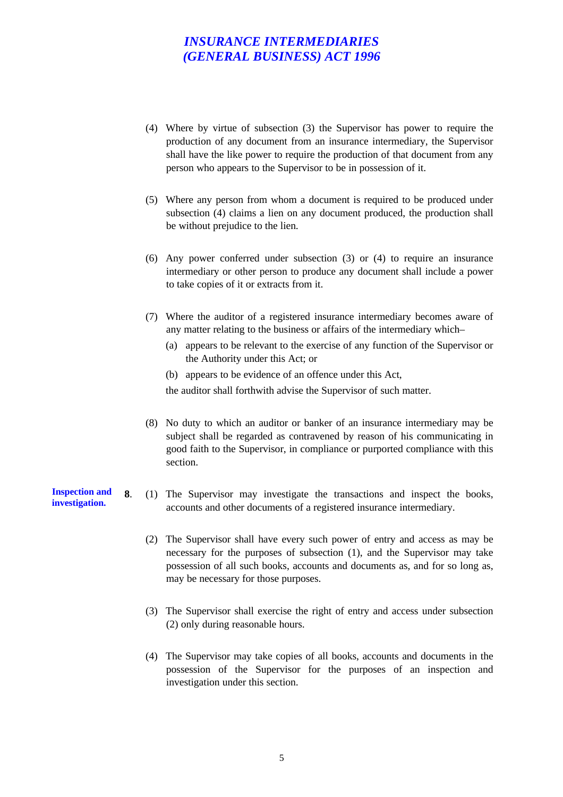- (4) Where by virtue of subsection (3) the Supervisor has power to require the production of any document from an insurance intermediary, the Supervisor shall have the like power to require the production of that document from any person who appears to the Supervisor to be in possession of it.
- (5) Where any person from whom a document is required to be produced under subsection (4) claims a lien on any document produced, the production shall be without prejudice to the lien.
- (6) Any power conferred under subsection (3) or (4) to require an insurance intermediary or other person to produce any document shall include a power to take copies of it or extracts from it.
- (7) Where the auditor of a registered insurance intermediary becomes aware of any matter relating to the business or affairs of the intermediary which–
	- (a) appears to be relevant to the exercise of any function of the Supervisor or the Authority under this Act; or
	- (b) appears to be evidence of an offence under this Act,

the auditor shall forthwith advise the Supervisor of such matter.

- (8) No duty to which an auditor or banker of an insurance intermediary may be subject shall be regarded as contravened by reason of his communicating in good faith to the Supervisor, in compliance or purported compliance with this section.
- **8**. (1) The Supervisor may investigate the transactions and inspect the books, accounts and other documents of a registered insurance intermediary.
	- (2) The Supervisor shall have every such power of entry and access as may be necessary for the purposes of subsection (1), and the Supervisor may take possession of all such books, accounts and documents as, and for so long as, may be necessary for those purposes.
	- (3) The Supervisor shall exercise the right of entry and access under subsection (2) only during reasonable hours.
	- (4) The Supervisor may take copies of all books, accounts and documents in the possession of the Supervisor for the purposes of an inspection and investigation under this section.

**Inspection and investigation.**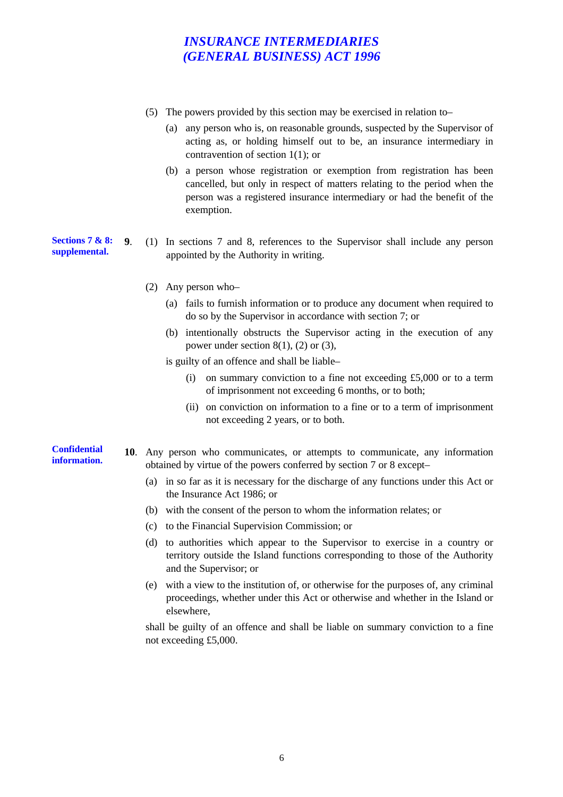- (5) The powers provided by this section may be exercised in relation to–
	- (a) any person who is, on reasonable grounds, suspected by the Supervisor of acting as, or holding himself out to be, an insurance intermediary in contravention of section 1(1); or
	- (b) a person whose registration or exemption from registration has been cancelled, but only in respect of matters relating to the period when the person was a registered insurance intermediary or had the benefit of the exemption.

**Sections 7 & 8: supplemental. 9**. (1) In sections 7 and 8, references to the Supervisor shall include any person appointed by the Authority in writing.

- (2) Any person who–
	- (a) fails to furnish information or to produce any document when required to do so by the Supervisor in accordance with section 7; or
	- (b) intentionally obstructs the Supervisor acting in the execution of any power under section  $8(1)$ ,  $(2)$  or  $(3)$ ,

is guilty of an offence and shall be liable–

- (i) on summary conviction to a fine not exceeding  $£5,000$  or to a term of imprisonment not exceeding 6 months, or to both;
- (ii) on conviction on information to a fine or to a term of imprisonment not exceeding 2 years, or to both.
- **Confidential information. 10**. Any person who communicates, or attempts to communicate, any information obtained by virtue of the powers conferred by section 7 or 8 except–
	- (a) in so far as it is necessary for the discharge of any functions under this Act or the Insurance Act 1986; or
	- (b) with the consent of the person to whom the information relates; or
	- (c) to the Financial Supervision Commission; or
	- (d) to authorities which appear to the Supervisor to exercise in a country or territory outside the Island functions corresponding to those of the Authority and the Supervisor; or
	- (e) with a view to the institution of, or otherwise for the purposes of, any criminal proceedings, whether under this Act or otherwise and whether in the Island or elsewhere,

shall be guilty of an offence and shall be liable on summary conviction to a fine not exceeding £5,000.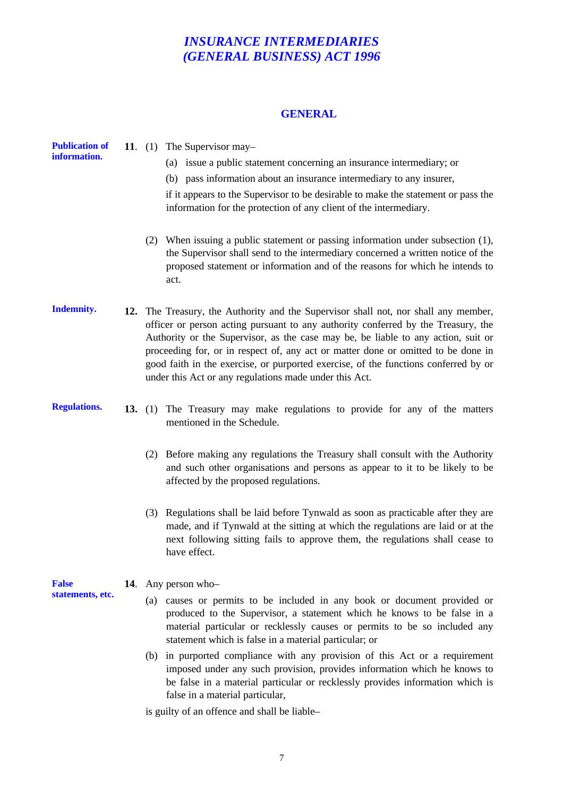### **GENERAL**

| <b>Publication of</b><br>information. | 11. $(1)$ The Supervisor may-<br>(a) issue a public statement concerning an insurance intermediary; or<br>(b) pass information about an insurance intermediary to any insurer,<br>if it appears to the Supervisor to be desirable to make the statement or pass the<br>information for the protection of any client of the intermediary.                                                                                                                                                            |
|---------------------------------------|-----------------------------------------------------------------------------------------------------------------------------------------------------------------------------------------------------------------------------------------------------------------------------------------------------------------------------------------------------------------------------------------------------------------------------------------------------------------------------------------------------|
|                                       | (2) When issuing a public statement or passing information under subsection (1),<br>the Supervisor shall send to the intermediary concerned a written notice of the<br>proposed statement or information and of the reasons for which he intends to<br>act.                                                                                                                                                                                                                                         |
| <b>Indemnity.</b>                     | 12. The Treasury, the Authority and the Supervisor shall not, nor shall any member,<br>officer or person acting pursuant to any authority conferred by the Treasury, the<br>Authority or the Supervisor, as the case may be, be liable to any action, suit or<br>proceeding for, or in respect of, any act or matter done or omitted to be done in<br>good faith in the exercise, or purported exercise, of the functions conferred by or<br>under this Act or any regulations made under this Act. |
| <b>Regulations.</b>                   | 13. (1) The Treasury may make regulations to provide for any of the matters<br>mentioned in the Schedule.                                                                                                                                                                                                                                                                                                                                                                                           |
|                                       | (2) Before making any regulations the Treasury shall consult with the Authority<br>and such other organisations and persons as appear to it to be likely to be<br>affected by the proposed regulations.                                                                                                                                                                                                                                                                                             |
|                                       | (3) Regulations shall be laid before Tynwald as soon as practicable after they are<br>made, and if Tynwald at the sitting at which the regulations are laid or at the<br>next following sitting fails to approve them, the regulations shall cease to<br>have effect.                                                                                                                                                                                                                               |
| <b>False</b><br>statements, etc.      | 14. Any person who-                                                                                                                                                                                                                                                                                                                                                                                                                                                                                 |
|                                       | causes or permits to be included in any book or document provided or<br>(a)<br>produced to the Supervisor, a statement which he knows to be false in a<br>material particular or recklessly causes or permits to be so included any<br>statement which is false in a material particular; or                                                                                                                                                                                                        |
|                                       | (b) in purported compliance with any provision of this Act or a requirement<br>imposed under any such provision, provides information which he knows to<br>be false in a material particular or recklessly provides information which is<br>false in a material particular,                                                                                                                                                                                                                         |
|                                       | بالملمئل وعارا المعامرات ومعارضه وتنميتهم وعوارضا                                                                                                                                                                                                                                                                                                                                                                                                                                                   |

is guilty of an offence and shall be liable–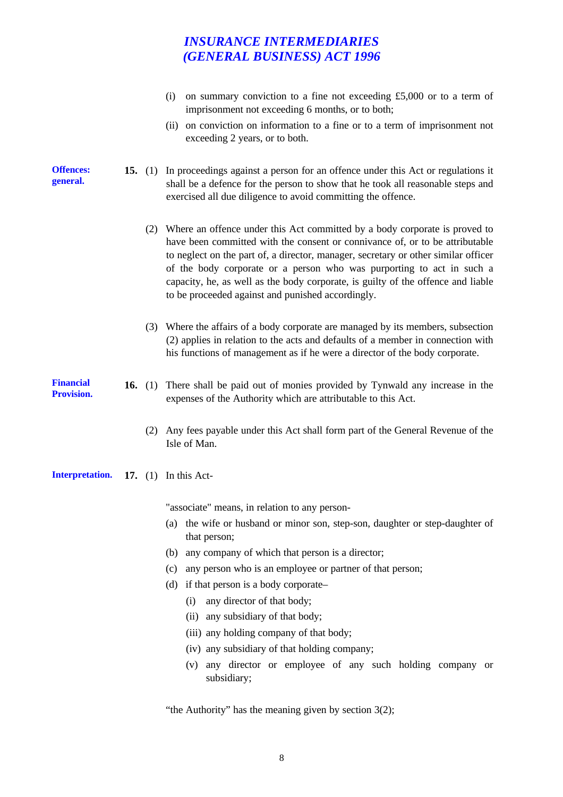|                                |           | on summary conviction to a fine not exceeding £5,000 or to a term of<br>(i)<br>imprisonment not exceeding 6 months, or to both;<br>(ii) on conviction on information to a fine or to a term of imprisonment not<br>exceeding 2 years, or to both.                                                                                                                                                                                                                      |
|--------------------------------|-----------|------------------------------------------------------------------------------------------------------------------------------------------------------------------------------------------------------------------------------------------------------------------------------------------------------------------------------------------------------------------------------------------------------------------------------------------------------------------------|
| <b>Offences:</b><br>general.   |           | 15. (1) In proceedings against a person for an offence under this Act or regulations it<br>shall be a defence for the person to show that he took all reasonable steps and<br>exercised all due diligence to avoid committing the offence.                                                                                                                                                                                                                             |
|                                |           | (2) Where an offence under this Act committed by a body corporate is proved to<br>have been committed with the consent or connivance of, or to be attributable<br>to neglect on the part of, a director, manager, secretary or other similar officer<br>of the body corporate or a person who was purporting to act in such a<br>capacity, he, as well as the body corporate, is guilty of the offence and liable<br>to be proceeded against and punished accordingly. |
|                                |           | (3) Where the affairs of a body corporate are managed by its members, subsection<br>(2) applies in relation to the acts and defaults of a member in connection with<br>his functions of management as if he were a director of the body corporate.                                                                                                                                                                                                                     |
| Financial<br><b>Provision.</b> | 16. $(1)$ | There shall be paid out of monies provided by Tynwald any increase in the<br>expenses of the Authority which are attributable to this Act.                                                                                                                                                                                                                                                                                                                             |
|                                |           | (2) Any fees payable under this Act shall form part of the General Revenue of the<br>Isle of Man.                                                                                                                                                                                                                                                                                                                                                                      |
| <b>Interpretation.</b>         |           | 17. $(1)$ In this Act-                                                                                                                                                                                                                                                                                                                                                                                                                                                 |
|                                |           | "associate" means, in relation to any person-                                                                                                                                                                                                                                                                                                                                                                                                                          |
|                                |           | the wife or husband or minor son, step-son, daughter or step-daughter of<br>(a)<br>that person;                                                                                                                                                                                                                                                                                                                                                                        |
|                                |           | any company of which that person is a director;<br>(b)                                                                                                                                                                                                                                                                                                                                                                                                                 |
|                                |           | any person who is an employee or partner of that person;<br>(c)                                                                                                                                                                                                                                                                                                                                                                                                        |
|                                |           | if that person is a body corporate-<br>(d)                                                                                                                                                                                                                                                                                                                                                                                                                             |
|                                |           | any director of that body;<br>(i)                                                                                                                                                                                                                                                                                                                                                                                                                                      |
|                                |           | any subsidiary of that body;<br>(ii)                                                                                                                                                                                                                                                                                                                                                                                                                                   |
|                                |           | (iii) any holding company of that body;                                                                                                                                                                                                                                                                                                                                                                                                                                |
|                                |           | (iv) any subsidiary of that holding company;                                                                                                                                                                                                                                                                                                                                                                                                                           |
|                                |           | any director or employee of any such holding company or<br>(v)<br>subsidiary;                                                                                                                                                                                                                                                                                                                                                                                          |

"the Authority" has the meaning given by section  $3(2)$ ;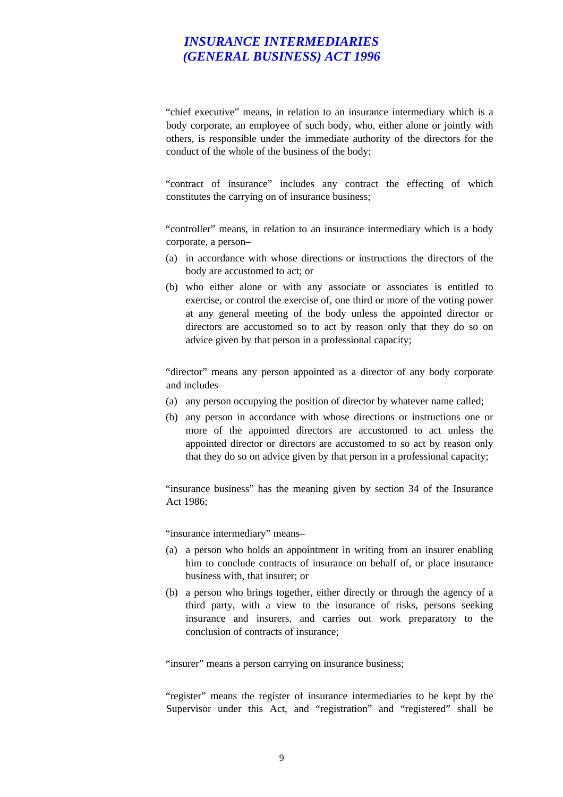"chief executive" means, in relation to an insurance intermediary which is a body corporate, an employee of such body, who, either alone or jointly with others, is responsible under the immediate authority of the directors for the conduct of the whole of the business of the body;

"contract of insurance" includes any contract the effecting of which constitutes the carrying on of insurance business;

"controller" means, in relation to an insurance intermediary which is a body corporate, a person–

- (a) in accordance with whose directions or instructions the directors of the body are accustomed to act; or
- (b) who either alone or with any associate or associates is entitled to exercise, or control the exercise of, one third or more of the voting power at any general meeting of the body unless the appointed director or directors are accustomed so to act by reason only that they do so on advice given by that person in a professional capacity;

"director" means any person appointed as a director of any body corporate and includes–

- (a) any person occupying the position of director by whatever name called;
- (b) any person in accordance with whose directions or instructions one or more of the appointed directors are accustomed to act unless the appointed director or directors are accustomed to so act by reason only that they do so on advice given by that person in a professional capacity;

"insurance business" has the meaning given by section 34 of the Insurance Act 1986;

"insurance intermediary" means–

- (a) a person who holds an appointment in writing from an insurer enabling him to conclude contracts of insurance on behalf of, or place insurance business with, that insurer; or
- (b) a person who brings together, either directly or through the agency of a third party, with a view to the insurance of risks, persons seeking insurance and insurers, and carries out work preparatory to the conclusion of contracts of insurance;

"insurer" means a person carrying on insurance business;

"register" means the register of insurance intermediaries to be kept by the Supervisor under this Act, and "registration" and "registered" shall be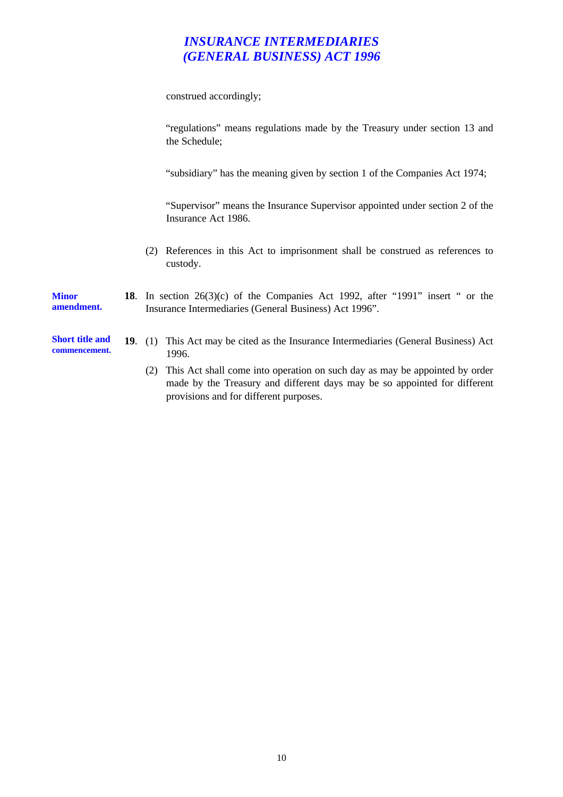construed accordingly;

|                                         | "regulations" means regulations made by the Treasury under section 13 and<br>the Schedule;                                                                                                                |
|-----------------------------------------|-----------------------------------------------------------------------------------------------------------------------------------------------------------------------------------------------------------|
|                                         | "subsidiary" has the meaning given by section 1 of the Companies Act 1974;                                                                                                                                |
|                                         | "Supervisor" means the Insurance Supervisor appointed under section 2 of the<br>Insurance Act 1986.                                                                                                       |
|                                         | References in this Act to imprisonment shall be construed as references to<br>(2)<br>custody.                                                                                                             |
| <b>Minor</b><br>amendment.              | 18. In section 26(3)(c) of the Companies Act 1992, after "1991" insert " or the<br>Insurance Intermediaries (General Business) Act 1996".                                                                 |
| <b>Short title and</b><br>commencement. | 19. (1) This Act may be cited as the Insurance Intermediaries (General Business) Act<br>1996.                                                                                                             |
|                                         | This Act shall come into operation on such day as may be appointed by order<br>(2)<br>made by the Treasury and different days may be so appointed for different<br>provisions and for different purposes. |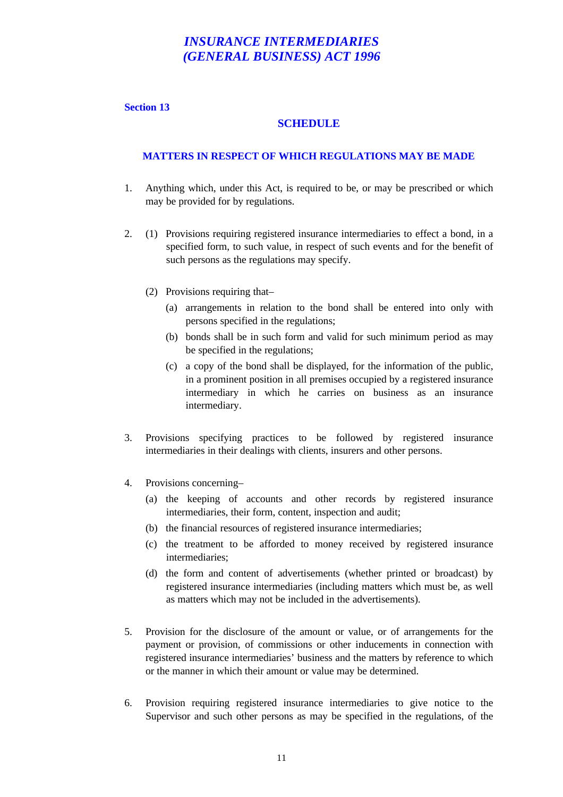#### **Section 13**

### **SCHEDULE**

#### **MATTERS IN RESPECT OF WHICH REGULATIONS MAY BE MADE**

- 1. Anything which, under this Act, is required to be, or may be prescribed or which may be provided for by regulations.
- 2. (1) Provisions requiring registered insurance intermediaries to effect a bond, in a specified form, to such value, in respect of such events and for the benefit of such persons as the regulations may specify.
	- (2) Provisions requiring that–
		- (a) arrangements in relation to the bond shall be entered into only with persons specified in the regulations;
		- (b) bonds shall be in such form and valid for such minimum period as may be specified in the regulations;
		- (c) a copy of the bond shall be displayed, for the information of the public, in a prominent position in all premises occupied by a registered insurance intermediary in which he carries on business as an insurance intermediary.
- 3. Provisions specifying practices to be followed by registered insurance intermediaries in their dealings with clients, insurers and other persons.
- 4. Provisions concerning–
	- (a) the keeping of accounts and other records by registered insurance intermediaries, their form, content, inspection and audit;
	- (b) the financial resources of registered insurance intermediaries;
	- (c) the treatment to be afforded to money received by registered insurance intermediaries;
	- (d) the form and content of advertisements (whether printed or broadcast) by registered insurance intermediaries (including matters which must be, as well as matters which may not be included in the advertisements).
- 5. Provision for the disclosure of the amount or value, or of arrangements for the payment or provision, of commissions or other inducements in connection with registered insurance intermediaries' business and the matters by reference to which or the manner in which their amount or value may be determined.
- 6. Provision requiring registered insurance intermediaries to give notice to the Supervisor and such other persons as may be specified in the regulations, of the